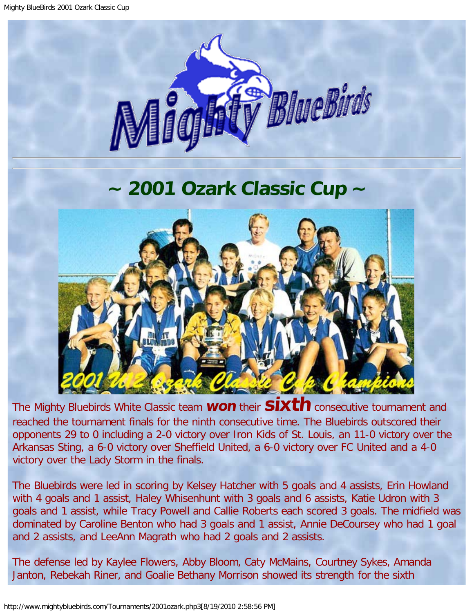

## **~ 2001 Ozark Classic Cup ~**

<span id="page-0-0"></span>

The Mighty Bluebirds White Classic team **won** their **sixth** consecutive tournament and reached the tournament finals for the ninth consecutive time. The Bluebirds outscored their opponents 29 to 0 including a 2-0 victory over Iron Kids of St. Louis, an 11-0 victory over the Arkansas Sting, a 6-0 victory over Sheffield United, a 6-0 victory over FC United and a 4-0 victory over the Lady Storm in the finals.

The Bluebirds were led in scoring by Kelsey Hatcher with 5 goals and 4 assists, Erin Howland with 4 goals and 1 assist, Haley Whisenhunt with 3 goals and 6 assists, Katie Udron with 3 goals and 1 assist, while Tracy Powell and Callie Roberts each scored 3 goals. The midfield was dominated by Caroline Benton who had 3 goals and 1 assist, Annie DeCoursey who had 1 goal and 2 assists, and LeeAnn Magrath who had 2 goals and 2 assists.

The defense led by Kaylee Flowers, Abby Bloom, Caty McMains, Courtney Sykes, Amanda Janton, Rebekah Riner, and Goalie Bethany Morrison showed its strength for the sixth